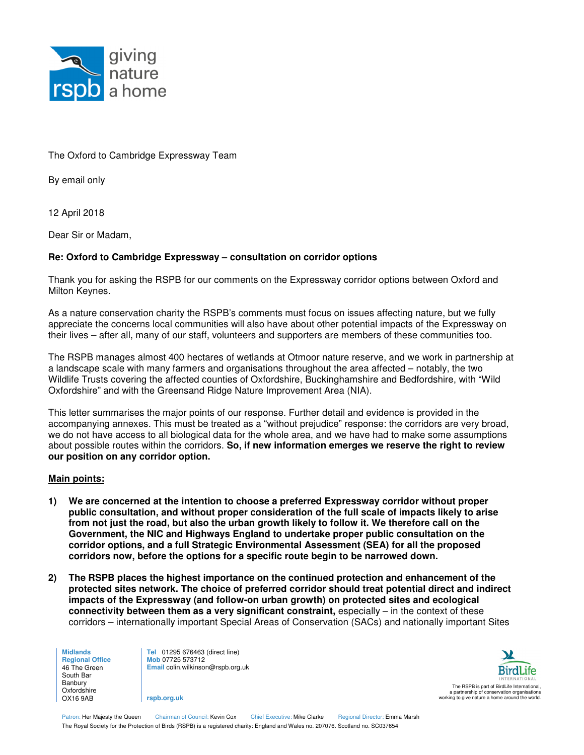

The Oxford to Cambridge Expressway Team

By email only

12 April 2018

Dear Sir or Madam,

## **Re: Oxford to Cambridge Expressway – consultation on corridor options**

Thank you for asking the RSPB for our comments on the Expressway corridor options between Oxford and Milton Keynes.

As a nature conservation charity the RSPB's comments must focus on issues affecting nature, but we fully appreciate the concerns local communities will also have about other potential impacts of the Expressway on their lives – after all, many of our staff, volunteers and supporters are members of these communities too.

The RSPB manages almost 400 hectares of wetlands at Otmoor nature reserve, and we work in partnership at a landscape scale with many farmers and organisations throughout the area affected – notably, the two Wildlife Trusts covering the affected counties of Oxfordshire, Buckinghamshire and Bedfordshire, with "Wild Oxfordshire" and with the Greensand Ridge Nature Improvement Area (NIA).

This letter summarises the major points of our response. Further detail and evidence is provided in the accompanying annexes. This must be treated as a "without prejudice" response: the corridors are very broad, we do not have access to all biological data for the whole area, and we have had to make some assumptions about possible routes within the corridors. **So, if new information emerges we reserve the right to review our position on any corridor option.**

## **Main points:**

- **1) We are concerned at the intention to choose a preferred Expressway corridor without proper public consultation, and without proper consideration of the full scale of impacts likely to arise from not just the road, but also the urban growth likely to follow it. We therefore call on the Government, the NIC and Highways England to undertake proper public consultation on the corridor options, and a full Strategic Environmental Assessment (SEA) for all the proposed corridors now, before the options for a specific route begin to be narrowed down.**
- **2) The RSPB places the highest importance on the continued protection and enhancement of the protected sites network. The choice of preferred corridor should treat potential direct and indirect impacts of the Expressway (and follow-on urban growth) on protected sites and ecological connectivity between them as a very significant constraint, especially – in the context of these** corridors – internationally important Special Areas of Conservation (SACs) and nationally important Sites

**Midlands Regional Office**  46 The Green South Bar Banbury Oxfordshire OX16 9AB

**Tel** 01295 676463 (direct line) **Mob** 07725 573712 **Email** colin.wilkinson@rspb.org.uk

**rspb.org.uk**



Patron: Her Majesty the Queen Chairman of Council: Kevin Cox Chief Executive: Mike Clarke Regional Director: Emma Marsh The Royal Society for the Protection of Birds (RSPB) is a registered charity: England and Wales no. 207076. Scotland no. SC037654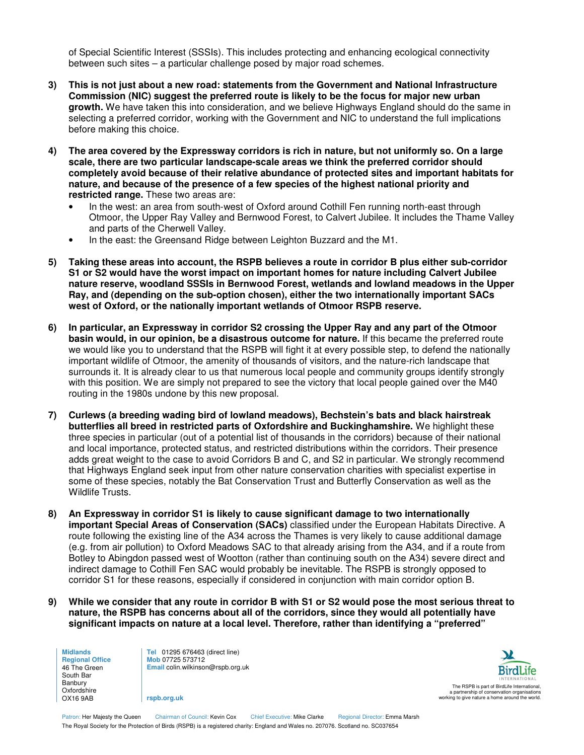of Special Scientific Interest (SSSIs). This includes protecting and enhancing ecological connectivity between such sites – a particular challenge posed by major road schemes.

- **3) This is not just about a new road: statements from the Government and National Infrastructure Commission (NIC) suggest the preferred route is likely to be the focus for major new urban growth.** We have taken this into consideration, and we believe Highways England should do the same in selecting a preferred corridor, working with the Government and NIC to understand the full implications before making this choice.
- **4) The area covered by the Expressway corridors is rich in nature, but not uniformly so. On a large scale, there are two particular landscape-scale areas we think the preferred corridor should completely avoid because of their relative abundance of protected sites and important habitats for nature, and because of the presence of a few species of the highest national priority and restricted range.** These two areas are:
	- In the west: an area from south-west of Oxford around Cothill Fen running north-east through Otmoor, the Upper Ray Valley and Bernwood Forest, to Calvert Jubilee. It includes the Thame Valley and parts of the Cherwell Valley.
	- In the east: the Greensand Ridge between Leighton Buzzard and the M1.
- **5) Taking these areas into account, the RSPB believes a route in corridor B plus either sub-corridor S1 or S2 would have the worst impact on important homes for nature including Calvert Jubilee nature reserve, woodland SSSIs in Bernwood Forest, wetlands and lowland meadows in the Upper Ray, and (depending on the sub-option chosen), either the two internationally important SACs west of Oxford, or the nationally important wetlands of Otmoor RSPB reserve.**
- **6) In particular, an Expressway in corridor S2 crossing the Upper Ray and any part of the Otmoor basin would, in our opinion, be a disastrous outcome for nature.** If this became the preferred route we would like you to understand that the RSPB will fight it at every possible step, to defend the nationally important wildlife of Otmoor, the amenity of thousands of visitors, and the nature-rich landscape that surrounds it. It is already clear to us that numerous local people and community groups identify strongly with this position. We are simply not prepared to see the victory that local people gained over the M40 routing in the 1980s undone by this new proposal.
- **7) Curlews (a breeding wading bird of lowland meadows), Bechstein's bats and black hairstreak butterflies all breed in restricted parts of Oxfordshire and Buckinghamshire.** We highlight these three species in particular (out of a potential list of thousands in the corridors) because of their national and local importance, protected status, and restricted distributions within the corridors. Their presence adds great weight to the case to avoid Corridors B and C, and S2 in particular. We strongly recommend that Highways England seek input from other nature conservation charities with specialist expertise in some of these species, notably the Bat Conservation Trust and Butterfly Conservation as well as the Wildlife Trusts.
- **8) An Expressway in corridor S1 is likely to cause significant damage to two internationally important Special Areas of Conservation (SACs)** classified under the European Habitats Directive. A route following the existing line of the A34 across the Thames is very likely to cause additional damage (e.g. from air pollution) to Oxford Meadows SAC to that already arising from the A34, and if a route from Botley to Abingdon passed west of Wootton (rather than continuing south on the A34) severe direct and indirect damage to Cothill Fen SAC would probably be inevitable. The RSPB is strongly opposed to corridor S1 for these reasons, especially if considered in conjunction with main corridor option B.
- **9) While we consider that any route in corridor B with S1 or S2 would pose the most serious threat to nature, the RSPB has concerns about all of the corridors, since they would all potentially have significant impacts on nature at a local level. Therefore, rather than identifying a "preferred"**

**Midlands Regional Office**  46 The Green South Bar Banbury Oxfordshire OX16 9AB

**Tel** 01295 676463 (direct line) **Mob** 07725 573712 **Email** colin.wilkinson@rspb.org.uk

**rspb.org.uk**



Patron: Her Majesty the Queen Chairman of Council: Kevin Cox Chief Executive: Mike Clarke Regional Director: Emma Marsh The Royal Society for the Protection of Birds (RSPB) is a registered charity: England and Wales no. 207076. Scotland no. SC037654